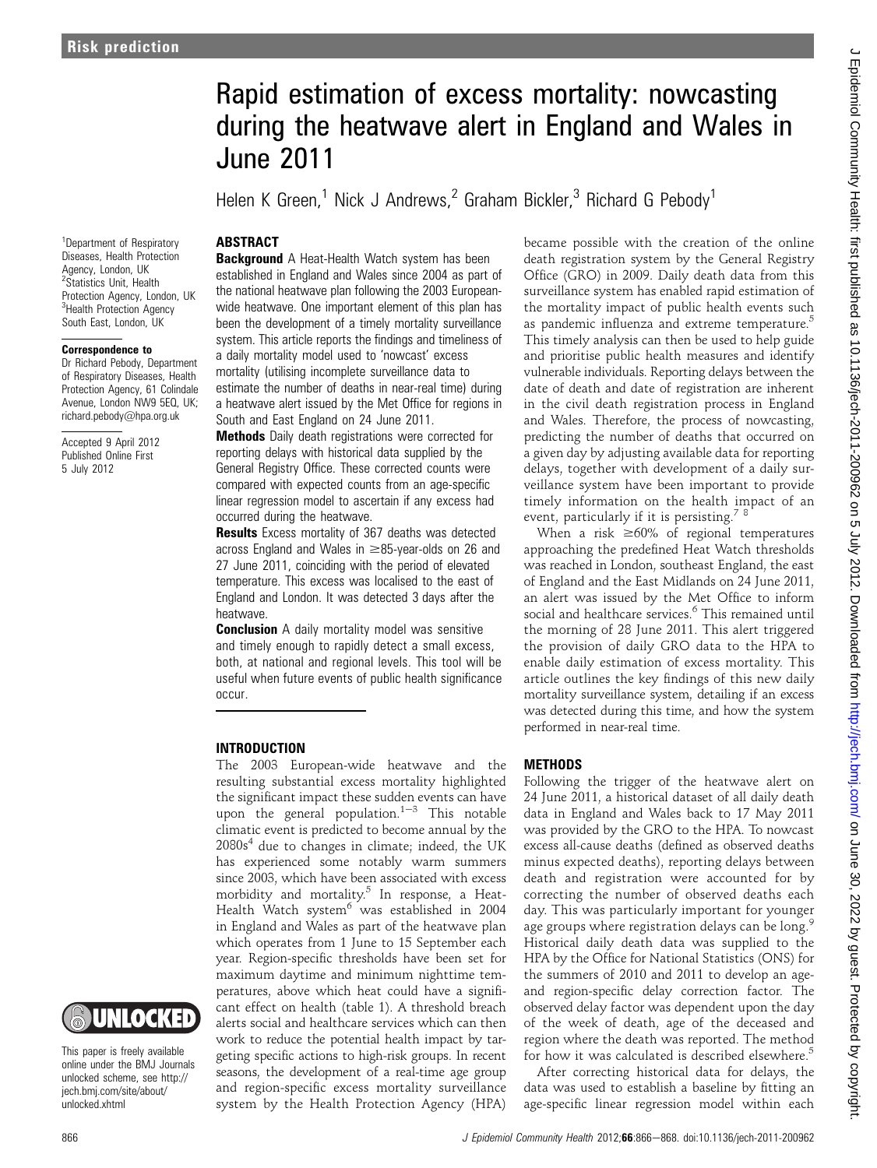# Rapid estimation of excess mortality: nowcasting during the heatwave alert in England and Wales in June 2011

Helen K Green,<sup>1</sup> Nick J Andrews,<sup>2</sup> Graham Bickler,<sup>3</sup> Richard G Pebody<sup>1</sup>

# **ABSTRACT**

<sup>1</sup>Department of Respiratory Diseases, Health Protection Agency, London, UK <sup>2</sup>Statistics Unit, Health Protection Agency, London, UK <sup>3</sup>Health Protection Agency South East, London, UK

#### Correspondence to

Dr Richard Pebody, Department of Respiratory Diseases, Health Protection Agency, 61 Colindale Avenue, London NW9 5EQ, UK; richard.pebody@hpa.org.uk

Accepted 9 April 2012 Published Online First 5 July 2012



This paper is freely available online under the BMJ Journals unlocked scheme, see http:// jech.bmj.com/site/about/ unlocked.xhtml

**Background** A Heat-Health Watch system has been established in England and Wales since 2004 as part of the national heatwave plan following the 2003 Europeanwide heatwave. One important element of this plan has been the development of a timely mortality surveillance system. This article reports the findings and timeliness of a daily mortality model used to 'nowcast' excess mortality (utilising incomplete surveillance data to estimate the number of deaths in near-real time) during a heatwave alert issued by the Met Office for regions in South and East England on 24 June 2011.

**Methods** Daily death registrations were corrected for reporting delays with historical data supplied by the General Registry Office. These corrected counts were compared with expected counts from an age-specific linear regression model to ascertain if any excess had occurred during the heatwave.

**Results** Excess mortality of 367 deaths was detected across England and Wales in  $\geq 85$ -year-olds on 26 and 27 June 2011, coinciding with the period of elevated temperature. This excess was localised to the east of England and London. It was detected 3 days after the heatwave.

**Conclusion** A daily mortality model was sensitive and timely enough to rapidly detect a small excess, both, at national and regional levels. This tool will be useful when future events of public health significance occur.

#### INTRODUCTION

The 2003 European-wide heatwave and the resulting substantial excess mortality highlighted the significant impact these sudden events can have upon the general population. $1-3$  This notable climatic event is predicted to become annual by the  $2080s<sup>4</sup>$  due to changes in climate; indeed, the UK has experienced some notably warm summers since 2003, which have been associated with excess morbidity and mortality.<sup>5</sup> In response, a Heat-Health Watch system<sup>6</sup> was established in 2004 in England and Wales as part of the heatwave plan which operates from 1 June to 15 September each year. Region-specific thresholds have been set for maximum daytime and minimum nighttime temperatures, above which heat could have a significant effect on health (table 1). A threshold breach alerts social and healthcare services which can then work to reduce the potential health impact by targeting specific actions to high-risk groups. In recent seasons, the development of a real-time age group and region-specific excess mortality surveillance system by the Health Protection Agency (HPA)

became possible with the creation of the online death registration system by the General Registry Office (GRO) in 2009. Daily death data from this surveillance system has enabled rapid estimation of the mortality impact of public health events such as pandemic influenza and extreme temperature.<sup>5</sup> This timely analysis can then be used to help guide and prioritise public health measures and identify vulnerable individuals. Reporting delays between the date of death and date of registration are inherent in the civil death registration process in England and Wales. Therefore, the process of nowcasting, predicting the number of deaths that occurred on a given day by adjusting available data for reporting delays, together with development of a daily surveillance system have been important to provide timely information on the health impact of an event, particularly if it is persisting.<sup> $8$ </sup>

When a risk  $\geq 60\%$  of regional temperatures approaching the predefined Heat Watch thresholds was reached in London, southeast England, the east of England and the East Midlands on 24 June 2011, an alert was issued by the Met Office to inform social and healthcare services.<sup>6</sup> This remained until the morning of 28 June 2011. This alert triggered the provision of daily GRO data to the HPA to enable daily estimation of excess mortality. This article outlines the key findings of this new daily mortality surveillance system, detailing if an excess was detected during this time, and how the system performed in near-real time.

#### **METHODS**

Following the trigger of the heatwave alert on 24 June 2011, a historical dataset of all daily death data in England and Wales back to 17 May 2011 was provided by the GRO to the HPA. To nowcast excess all-cause deaths (defined as observed deaths minus expected deaths), reporting delays between death and registration were accounted for by correcting the number of observed deaths each day. This was particularly important for younger age groups where registration delays can be long.<sup>9</sup> Historical daily death data was supplied to the HPA by the Office for National Statistics (ONS) for the summers of 2010 and 2011 to develop an ageand region-specific delay correction factor. The observed delay factor was dependent upon the day of the week of death, age of the deceased and region where the death was reported. The method for how it was calculated is described elsewhere.<sup>5</sup>

After correcting historical data for delays, the data was used to establish a baseline by fitting an age-specific linear regression model within each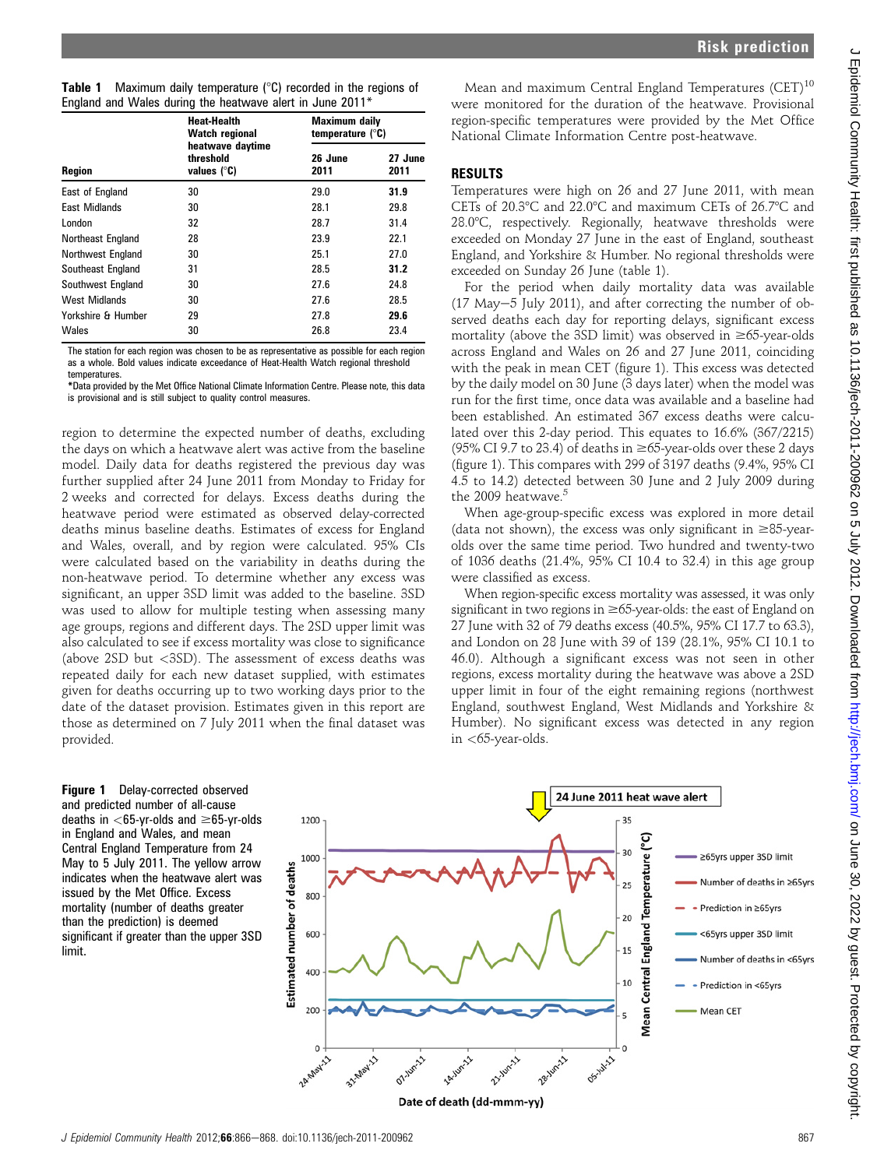J Epidemiol Community Health: first published as 10.1136/jech-2011-200962 on 5 July 2012. Downloaded from <http://jech.bmj.com/> on June 30, 2022 by guest. Protected by copyright.

| <b>Table 1</b> Maximum daily temperature $(^\circ \text{C})$ recorded in the regions of |  |
|-----------------------------------------------------------------------------------------|--|
| England and Wales during the heatwave alert in June 2011*                               |  |

|                      | <b>Heat-Health</b><br><b>Watch regional</b><br>heatwave daytime<br>threshold<br>values $(^\circ \mathsf{C})$ | <b>Maximum daily</b><br>temperature $(^{\circ}C)$ |                 |  |
|----------------------|--------------------------------------------------------------------------------------------------------------|---------------------------------------------------|-----------------|--|
| <b>Region</b>        |                                                                                                              | 26 June<br>2011                                   | 27 June<br>2011 |  |
| East of England      | 30                                                                                                           | 29.0                                              | 31.9            |  |
| <b>East Midlands</b> | 30                                                                                                           | 28.1                                              | 29.8            |  |
| London               | 32                                                                                                           | 28.7                                              | 31.4            |  |
| Northeast England    | 28                                                                                                           | 23.9                                              | 22.1            |  |
| Northwest England    | 30                                                                                                           | 25.1                                              | 27.0            |  |
| Southeast England    | 31                                                                                                           | 28.5                                              | 31.2            |  |
| Southwest England    | 30                                                                                                           | 27.6                                              | 24.8            |  |
| <b>West Midlands</b> | 30                                                                                                           | 27.6                                              | 28.5            |  |
| Yorkshire & Humber   | 29                                                                                                           | 27.8                                              | 29.6            |  |
| Wales                | 30                                                                                                           | 26.8                                              | 23.4            |  |

The station for each region was chosen to be as representative as possible for each region as a whole. Bold values indicate exceedance of Heat-Health Watch regional threshold temperatures.

\*Data provided by the Met Office National Climate Information Centre. Please note, this data is provisional and is still subject to quality control measures.

region to determine the expected number of deaths, excluding the days on which a heatwave alert was active from the baseline model. Daily data for deaths registered the previous day was further supplied after 24 June 2011 from Monday to Friday for 2 weeks and corrected for delays. Excess deaths during the heatwave period were estimated as observed delay-corrected deaths minus baseline deaths. Estimates of excess for England and Wales, overall, and by region were calculated. 95% CIs were calculated based on the variability in deaths during the non-heatwave period. To determine whether any excess was significant, an upper 3SD limit was added to the baseline. 3SD was used to allow for multiple testing when assessing many age groups, regions and different days. The 2SD upper limit was also calculated to see if excess mortality was close to significance (above 2SD but <3SD). The assessment of excess deaths was repeated daily for each new dataset supplied, with estimates given for deaths occurring up to two working days prior to the date of the dataset provision. Estimates given in this report are those as determined on 7 July 2011 when the final dataset was provided.

Figure 1 Delay-corrected observed and predicted number of all-cause deaths in  $<$  65-yr-olds and  $\geq$  65-yr-olds in England and Wales, and mean Central England Temperature from 24 May to 5 July 2011. The yellow arrow indicates when the heatwave alert was issued by the Met Office. Excess mortality (number of deaths greater than the prediction) is deemed significant if greater than the upper 3SD limit.

## RESULTS

Temperatures were high on 26 and 27 June 2011, with mean CETs of 20.3 $\degree$ C and 22.0 $\degree$ C and maximum CETs of 26.7 $\degree$ C and 28.0°C, respectively. Regionally, heatwave thresholds were exceeded on Monday 27 June in the east of England, southeast England, and Yorkshire & Humber. No regional thresholds were exceeded on Sunday 26 June (table 1).

For the period when daily mortality data was available  $(17 \text{ May}-5 \text{ July } 2011)$ , and after correcting the number of observed deaths each day for reporting delays, significant excess mortality (above the 3SD limit) was observed in  $\geq 65$ -year-olds across England and Wales on 26 and 27 June 2011, coinciding with the peak in mean CET (figure 1). This excess was detected by the daily model on 30 June (3 days later) when the model was run for the first time, once data was available and a baseline had been established. An estimated 367 excess deaths were calculated over this 2-day period. This equates to 16.6% (367/2215) (95% CI 9.7 to 23.4) of deaths in  $\geq$ 65-year-olds over these 2 days (figure 1). This compares with 299 of 3197 deaths (9.4%, 95% CI 4.5 to 14.2) detected between 30 June and 2 July 2009 during the 2009 heatwave.<sup>5</sup>

When age-group-specific excess was explored in more detail (data not shown), the excess was only significant in  $\geq 85$ -yearolds over the same time period. Two hundred and twenty-two of 1036 deaths (21.4%, 95% CI 10.4 to 32.4) in this age group were classified as excess.

When region-specific excess mortality was assessed, it was only significant in two regions in  $\geq 65$ -year-olds: the east of England on 27 June with 32 of 79 deaths excess (40.5%, 95% CI 17.7 to 63.3), and London on 28 June with 39 of 139 (28.1%, 95% CI 10.1 to 46.0). Although a significant excess was not seen in other regions, excess mortality during the heatwave was above a 2SD upper limit in four of the eight remaining regions (northwest England, southwest England, West Midlands and Yorkshire & Humber). No significant excess was detected in any region in  $<$  65-year-olds.